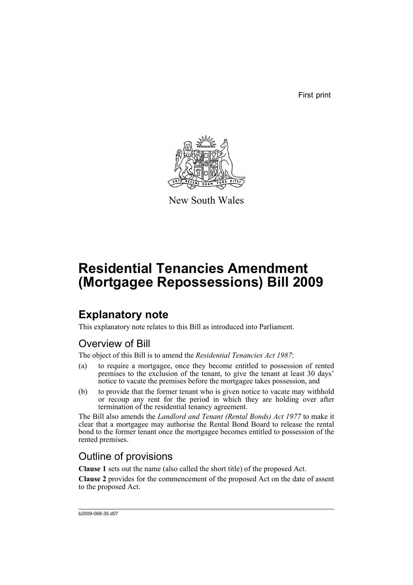First print



New South Wales

# **Residential Tenancies Amendment (Mortgagee Repossessions) Bill 2009**

## **Explanatory note**

This explanatory note relates to this Bill as introduced into Parliament.

### Overview of Bill

The object of this Bill is to amend the *Residential Tenancies Act 1987*:

- (a) to require a mortgagee, once they become entitled to possession of rented premises to the exclusion of the tenant, to give the tenant at least 30 days' notice to vacate the premises before the mortgagee takes possession, and
- (b) to provide that the former tenant who is given notice to vacate may withhold or recoup any rent for the period in which they are holding over after termination of the residential tenancy agreement.

The Bill also amends the *Landlord and Tenant (Rental Bonds) Act 1977* to make it clear that a mortgagee may authorise the Rental Bond Board to release the rental bond to the former tenant once the mortgagee becomes entitled to possession of the rented premises.

### Outline of provisions

**Clause 1** sets out the name (also called the short title) of the proposed Act.

**Clause 2** provides for the commencement of the proposed Act on the date of assent to the proposed Act.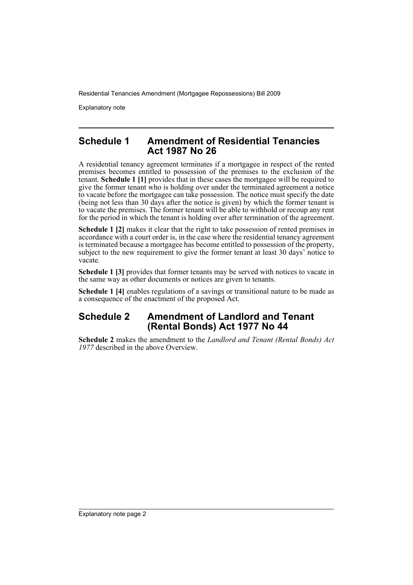Explanatory note

#### **Schedule 1 Amendment of Residential Tenancies Act 1987 No 26**

A residential tenancy agreement terminates if a mortgagee in respect of the rented premises becomes entitled to possession of the premises to the exclusion of the tenant. **Schedule 1 [1]** provides that in these cases the mortgagee will be required to give the former tenant who is holding over under the terminated agreement a notice to vacate before the mortgagee can take possession. The notice must specify the date (being not less than 30 days after the notice is given) by which the former tenant is to vacate the premises. The former tenant will be able to withhold or recoup any rent for the period in which the tenant is holding over after termination of the agreement.

**Schedule 1 [2]** makes it clear that the right to take possession of rented premises in accordance with a court order is, in the case where the residential tenancy agreement is terminated because a mortgagee has become entitled to possession of the property, subject to the new requirement to give the former tenant at least 30 days' notice to vacate.

**Schedule 1 [3]** provides that former tenants may be served with notices to vacate in the same way as other documents or notices are given to tenants.

**Schedule 1 [4]** enables regulations of a savings or transitional nature to be made as a consequence of the enactment of the proposed Act.

### **Schedule 2 Amendment of Landlord and Tenant (Rental Bonds) Act 1977 No 44**

**Schedule 2** makes the amendment to the *Landlord and Tenant (Rental Bonds) Act 1977* described in the above Overview.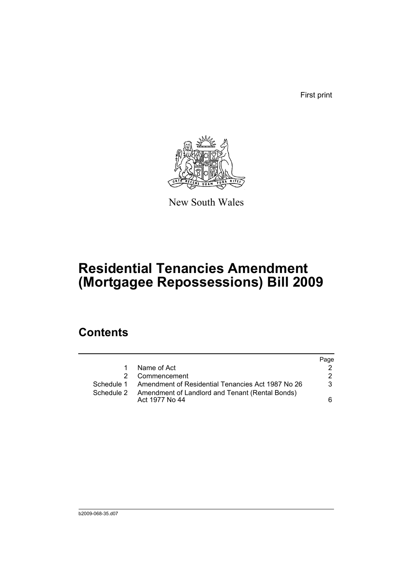First print



New South Wales

## **Residential Tenancies Amendment (Mortgagee Repossessions) Bill 2009**

## **Contents**

|   |                                                                              | Page |
|---|------------------------------------------------------------------------------|------|
| 1 | Name of Act                                                                  |      |
|   | Commencement                                                                 | 2    |
|   | Schedule 1 Amendment of Residential Tenancies Act 1987 No 26                 | 3    |
|   | Schedule 2 Amendment of Landlord and Tenant (Rental Bonds)<br>Act 1977 No 44 | 6    |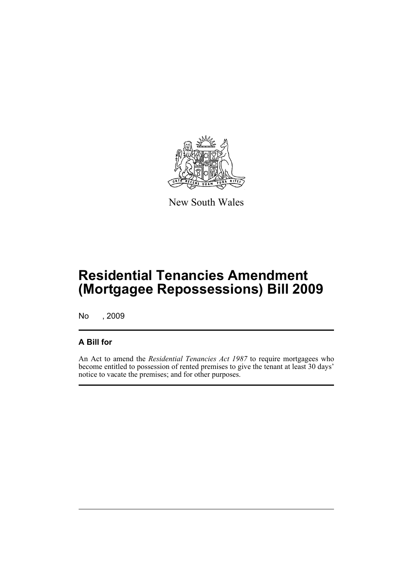

New South Wales

## **Residential Tenancies Amendment (Mortgagee Repossessions) Bill 2009**

No , 2009

### **A Bill for**

An Act to amend the *Residential Tenancies Act 1987* to require mortgagees who become entitled to possession of rented premises to give the tenant at least 30 days' notice to vacate the premises; and for other purposes.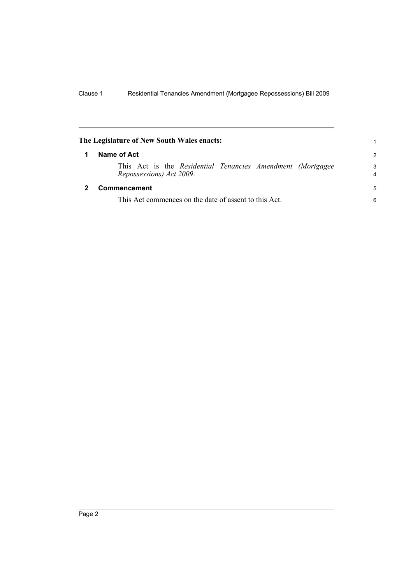<span id="page-5-1"></span><span id="page-5-0"></span>

| The Legislature of New South Wales enacts: |                                                                                         | 1      |  |
|--------------------------------------------|-----------------------------------------------------------------------------------------|--------|--|
| 1                                          | Name of Act                                                                             |        |  |
|                                            | This Act is the Residential Tenancies Amendment (Mortgagee)<br>Repossessions) Act 2009. | 3<br>4 |  |
|                                            | Commencement                                                                            | 5      |  |
|                                            | This Act commences on the date of assent to this Act.                                   |        |  |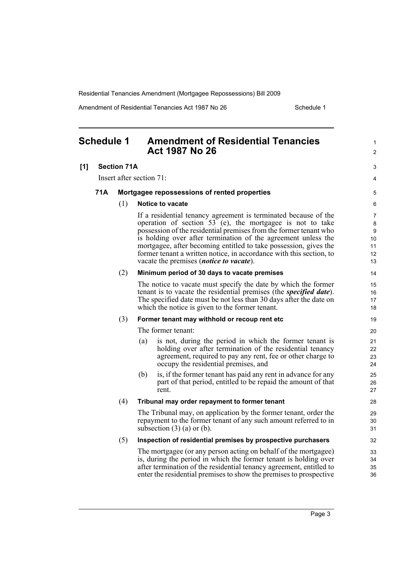Amendment of Residential Tenancies Act 1987 No 26 Schedule 1

<span id="page-6-0"></span>

|     | <b>Schedule 1</b> |                    | <b>Amendment of Residential Tenancies</b><br><b>Act 1987 No 26</b>                                                                                                                                                                                                                                                                                                                                                                                               | 1<br>$\overline{2}$                 |
|-----|-------------------|--------------------|------------------------------------------------------------------------------------------------------------------------------------------------------------------------------------------------------------------------------------------------------------------------------------------------------------------------------------------------------------------------------------------------------------------------------------------------------------------|-------------------------------------|
| [1] |                   | <b>Section 71A</b> |                                                                                                                                                                                                                                                                                                                                                                                                                                                                  | 3                                   |
|     |                   |                    | Insert after section 71:                                                                                                                                                                                                                                                                                                                                                                                                                                         | 4                                   |
|     | 71A               |                    | Mortgagee repossessions of rented properties                                                                                                                                                                                                                                                                                                                                                                                                                     | 5                                   |
|     |                   | (1)                | <b>Notice to vacate</b>                                                                                                                                                                                                                                                                                                                                                                                                                                          | 6                                   |
|     |                   |                    | If a residential tenancy agreement is terminated because of the<br>operation of section 53 (e), the mortgagee is not to take<br>possession of the residential premises from the former tenant who<br>is holding over after termination of the agreement unless the<br>mortgagee, after becoming entitled to take possession, gives the<br>former tenant a written notice, in accordance with this section, to<br>vacate the premises <i>(notice to vacate)</i> . | 7<br>8<br>9<br>10<br>11<br>12<br>13 |
|     |                   | (2)                | Minimum period of 30 days to vacate premises                                                                                                                                                                                                                                                                                                                                                                                                                     | 14                                  |
|     |                   |                    | The notice to vacate must specify the date by which the former<br>tenant is to vacate the residential premises (the <i>specified date</i> ).<br>The specified date must be not less than 30 days after the date on<br>which the notice is given to the former tenant.                                                                                                                                                                                            | 15<br>16<br>17<br>18                |
|     |                   | (3)                | Former tenant may withhold or recoup rent etc                                                                                                                                                                                                                                                                                                                                                                                                                    | 19                                  |
|     |                   |                    | The former tenant:                                                                                                                                                                                                                                                                                                                                                                                                                                               | 20                                  |
|     |                   |                    | (a)<br>is not, during the period in which the former tenant is<br>holding over after termination of the residential tenancy<br>agreement, required to pay any rent, fee or other charge to<br>occupy the residential premises, and                                                                                                                                                                                                                               | 21<br>22<br>23<br>24                |
|     |                   |                    | is, if the former tenant has paid any rent in advance for any<br>(b)<br>part of that period, entitled to be repaid the amount of that<br>rent.                                                                                                                                                                                                                                                                                                                   | 25<br>26<br>27                      |
|     |                   | (4)                | Tribunal may order repayment to former tenant                                                                                                                                                                                                                                                                                                                                                                                                                    | 28                                  |
|     |                   |                    | The Tribunal may, on application by the former tenant, order the<br>repayment to the former tenant of any such amount referred to in<br>subsection $(3)$ (a) or (b).                                                                                                                                                                                                                                                                                             | 29<br>30<br>31                      |
|     |                   | (5)                | Inspection of residential premises by prospective purchasers                                                                                                                                                                                                                                                                                                                                                                                                     | 32                                  |
|     |                   |                    | The mortgagee (or any person acting on behalf of the mortgagee)<br>is, during the period in which the former tenant is holding over<br>after termination of the residential tenancy agreement, entitled to<br>enter the residential premises to show the premises to prospective                                                                                                                                                                                 | 33<br>34<br>35<br>36                |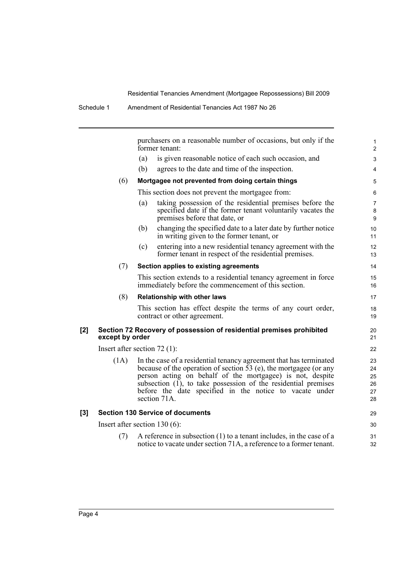purchasers on a reasonable number of occasions, but only if the former tenant: (a) is given reasonable notice of each such occasion, and (b) agrees to the date and time of the inspection. (6) **Mortgagee not prevented from doing certain things** This section does not prevent the mortgagee from: (a) taking possession of the residential premises before the specified date if the former tenant voluntarily vacates the premises before that date, or (b) changing the specified date to a later date by further notice in writing given to the former tenant, or (c) entering into a new residential tenancy agreement with the former tenant in respect of the residential premises. (7) **Section applies to existing agreements** This section extends to a residential tenancy agreement in force immediately before the commencement of this section. (8) **Relationship with other laws** This section has effect despite the terms of any court order, contract or other agreement. **[2] Section 72 Recovery of possession of residential premises prohibited except by order** Insert after section 72 (1): (1A) In the case of a residential tenancy agreement that has terminated because of the operation of section 53 (e), the mortgagee (or any person acting on behalf of the mortgagee) is not, despite subsection  $(I)$ , to take possession of the residential premises before the date specified in the notice to vacate under section 71A. **[3] Section 130 Service of documents** Insert after section 130 (6): (7) A reference in subsection (1) to a tenant includes, in the case of a 1 2  $\overline{a}$ 4 5 6 7 8 9 10 11 12 13 14 15 16 17 18 19  $20$ 21 22 23 24 25 26 27 28 29 30 31

notice to vacate under section 71A, a reference to a former tenant.

32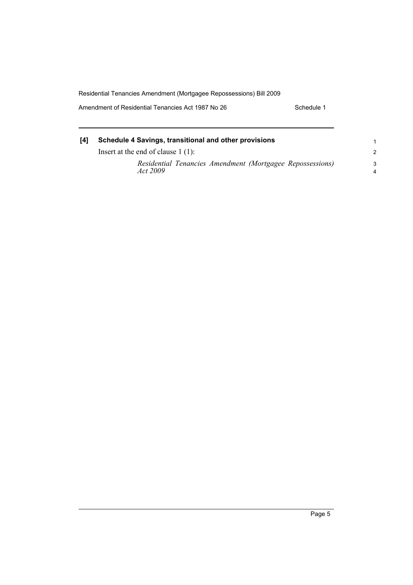Amendment of Residential Tenancies Act 1987 No 26 Schedule 1

| [4] | Schedule 4 Savings, transitional and other provisions<br>Insert at the end of clause $1(1)$ : |         |
|-----|-----------------------------------------------------------------------------------------------|---------|
|     |                                                                                               |         |
|     | Residential Tenancies Amendment (Mortgagee Repossessions)<br><i>Act</i> 2009                  | -3<br>4 |